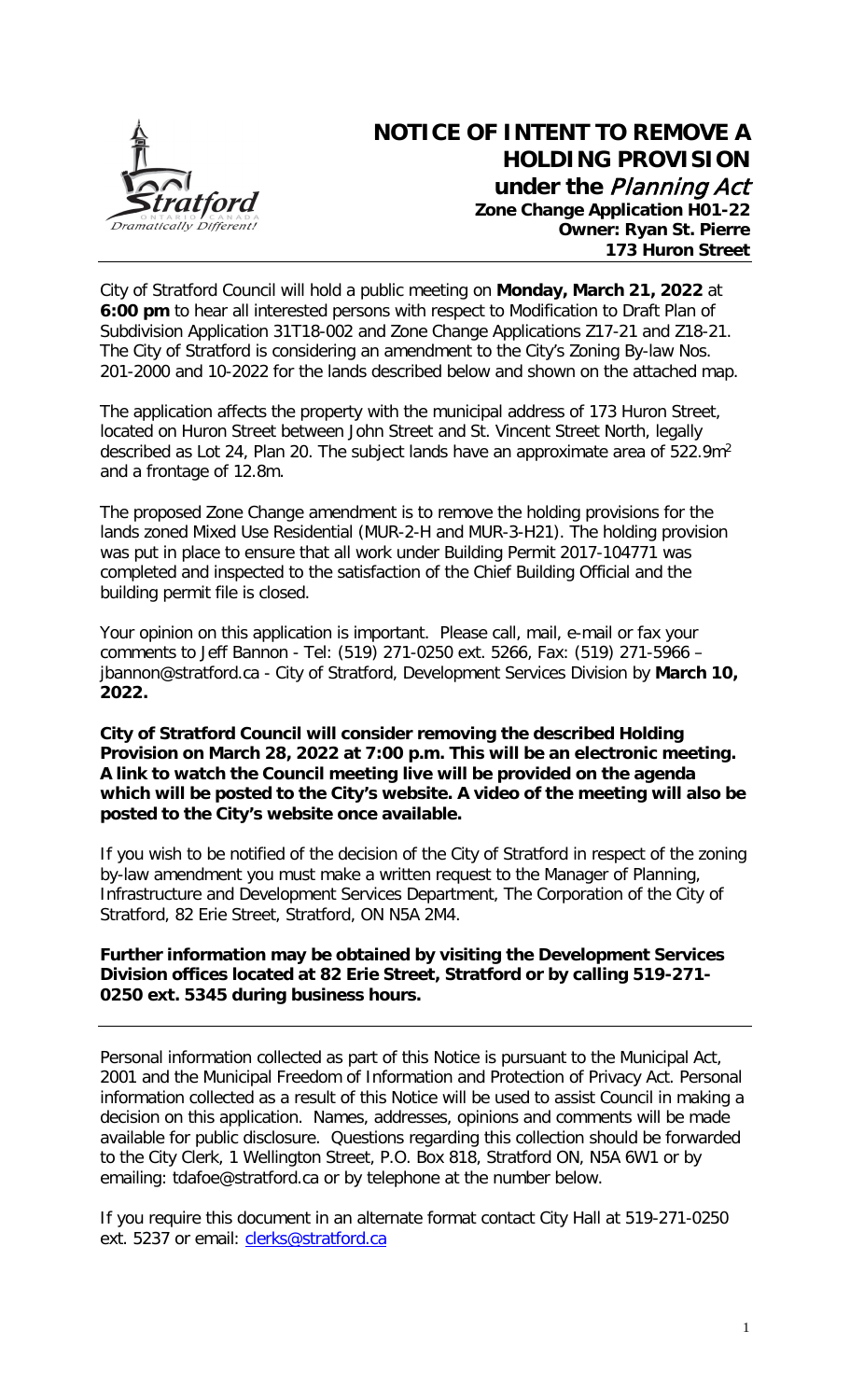

City of Stratford Council will hold a public meeting on **Monday, March 21, 2022** at **6:00 pm** to hear all interested persons with respect to Modification to Draft Plan of Subdivision Application 31T18-002 and Zone Change Applications Z17-21 and Z18-21. The City of Stratford is considering an amendment to the City's Zoning By-law Nos. 201-2000 and 10-2022 for the lands described below and shown on the attached map.

The application affects the property with the municipal address of 173 Huron Street, located on Huron Street between John Street and St. Vincent Street North, legally described as Lot 24, Plan 20. The subject lands have an approximate area of 522.9m<sup>2</sup> and a frontage of 12.8m.

The proposed Zone Change amendment is to remove the holding provisions for the lands zoned Mixed Use Residential (MUR-2-H and MUR-3-H21). The holding provision was put in place to ensure that all work under Building Permit 2017-104771 was completed and inspected to the satisfaction of the Chief Building Official and the building permit file is closed.

Your opinion on this application is important. Please call, mail, e-mail or fax your comments to Jeff Bannon - Tel: (519) 271-0250 ext. 5266, Fax: (519) 271-5966 – jbannon@stratford.ca - City of Stratford, Development Services Division by **March 10, 2022.**

## **City of Stratford Council will consider removing the described Holding Provision on March 28, 2022 at 7:00 p.m. This will be an electronic meeting. A link to watch the Council meeting live will be provided on the agenda which will be posted to the City's website. A video of the meeting will also be posted to the City's website once available.**

If you wish to be notified of the decision of the City of Stratford in respect of the zoning by-law amendment you must make a written request to the Manager of Planning, Infrastructure and Development Services Department, The Corporation of the City of Stratford, 82 Erie Street, Stratford, ON N5A 2M4.

## **Further information may be obtained by visiting the Development Services Division offices located at 82 Erie Street, Stratford or by calling 519-271- 0250 ext. 5345 during business hours.**

Personal information collected as part of this Notice is pursuant to the Municipal Act, 2001 and the Municipal Freedom of Information and Protection of Privacy Act. Personal information collected as a result of this Notice will be used to assist Council in making a decision on this application. Names, addresses, opinions and comments will be made available for public disclosure. Questions regarding this collection should be forwarded to the City Clerk, 1 Wellington Street, P.O. Box 818, Stratford ON, N5A 6W1 or by emailing: tdafoe@stratford.ca or by telephone at the number below.

If you require this document in an alternate format contact City Hall at 519-271-0250 ext. 5237 or email: clerks@stratford.ca